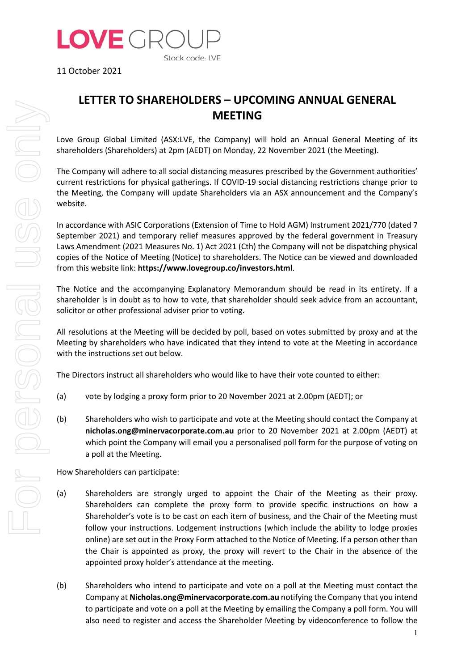

11 October 2021

## **LETTER TO SHAREHOLDERS – UPCOMING ANNUAL GENERAL MEETING**

Love Group Global Limited (ASX:LVE, the Company) will hold an Annual General Meeting of its shareholders (Shareholders) at 2pm (AEDT) on Monday, 22 November 2021 (the Meeting).

The Company will adhere to all social distancing measures prescribed by the Government authorities' current restrictions for physical gatherings. If COVID-19 social distancing restrictions change prior to the Meeting, the Company will update Shareholders via an ASX announcement and the Company's website.

In accordance with ASIC Corporations (Extension of Time to Hold AGM) Instrument 2021/770 (dated 7 September 2021) and temporary relief measures approved by the federal government in Treasury Laws Amendment (2021 Measures No. 1) Act 2021 (Cth) the Company will not be dispatching physical copies of the Notice of Meeting (Notice) to shareholders. The Notice can be viewed and downloaded from this website link: **https://www.lovegroup.co/investors.html**.

The Notice and the accompanying Explanatory Memorandum should be read in its entirety. If a shareholder is in doubt as to how to vote, that shareholder should seek advice from an accountant, solicitor or other professional adviser prior to voting.

All resolutions at the Meeting will be decided by poll, based on votes submitted by proxy and at the Meeting by shareholders who have indicated that they intend to vote at the Meeting in accordance with the instructions set out below.

The Directors instruct all shareholders who would like to have their vote counted to either:

- (a) vote by lodging a proxy form prior to 20 November 2021 at 2.00pm (AEDT); or
- (b) Shareholders who wish to participate and vote at the Meeting should contact the Company at **nicholas.ong@minervacorporate.com.au** prior to 20 November 2021 at 2.00pm (AEDT) at which point the Company will email you a personalised poll form for the purpose of voting on a poll at the Meeting.

How Shareholders can participate:

- (a) Shareholders are strongly urged to appoint the Chair of the Meeting as their proxy. Shareholders can complete the proxy form to provide specific instructions on how a Shareholder's vote is to be cast on each item of business, and the Chair of the Meeting must follow your instructions. Lodgement instructions (which include the ability to lodge proxies online) are set out in the Proxy Form attached to the Notice of Meeting. If a person other than the Chair is appointed as proxy, the proxy will revert to the Chair in the absence of the appointed proxy holder's attendance at the meeting.
- (b) Shareholders who intend to participate and vote on a poll at the Meeting must contact the Company at **Nicholas.ong@minervacorporate.com.au** notifying the Company that you intend to participate and vote on a poll at the Meeting by emailing the Company a poll form. You will also need to register and access the Shareholder Meeting by videoconference to follow the